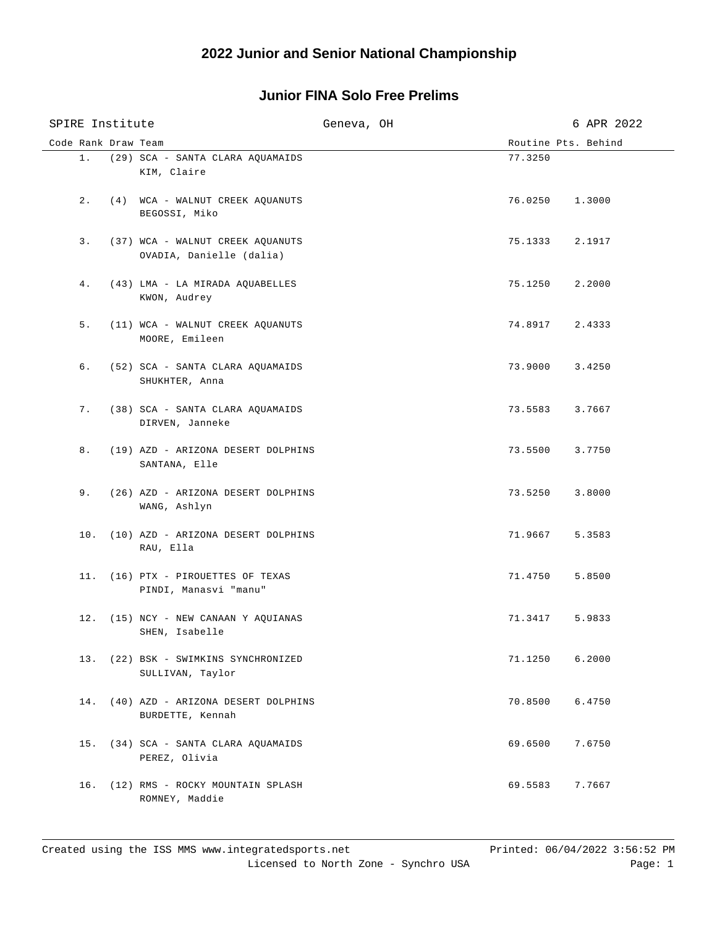| SPIRE Institute     |                                                              | Geneva, OH |                     | 6 APR 2022 |
|---------------------|--------------------------------------------------------------|------------|---------------------|------------|
| Code Rank Draw Team |                                                              |            | Routine Pts. Behind |            |
|                     | 1. (29) SCA - SANTA CLARA AQUAMAIDS<br>KIM, Claire           |            | 77.3250             |            |
|                     | 2. (4) WCA - WALNUT CREEK AQUANUTS<br>BEGOSSI, Miko          |            | 76.0250 1.3000      |            |
| 3.                  | (37) WCA - WALNUT CREEK AQUANUTS<br>OVADIA, Danielle (dalia) |            | 75.1333 2.1917      |            |
| 4.                  | (43) LMA - LA MIRADA AQUABELLES<br>KWON, Audrey              |            | 75.1250 2.2000      |            |
| 5.                  | (11) WCA - WALNUT CREEK AQUANUTS<br>MOORE, Emileen           |            | 74.8917             | 2.4333     |
| б.                  | (52) SCA - SANTA CLARA AQUAMAIDS<br>SHUKHTER, Anna           |            | 73.9000             | 3.4250     |
| 7.                  | (38) SCA - SANTA CLARA AQUAMAIDS<br>DIRVEN, Janneke          |            | 73.5583 3.7667      |            |
| 8.                  | (19) AZD - ARIZONA DESERT DOLPHINS<br>SANTANA, Elle          |            | 73.5500 3.7750      |            |
| 9.                  | (26) AZD - ARIZONA DESERT DOLPHINS<br>WANG, Ashlyn           |            | 73.5250             | 3.8000     |
|                     | 10. (10) AZD - ARIZONA DESERT DOLPHINS<br>RAU, Ella          |            | 71.9667             | 5.3583     |
|                     | 11. (16) PTX - PIROUETTES OF TEXAS<br>PINDI, Manasvi "manu"  |            | 71.4750             | 5.8500     |
|                     | 12. (15) NCY - NEW CANAAN Y AQUIANAS<br>SHEN, Isabelle       |            | 71.3417             | 5.9833     |
|                     | 13. (22) BSK - SWIMKINS SYNCHRONIZED<br>SULLIVAN, Taylor     |            | 71.1250             | 6.2000     |
|                     | 14. (40) AZD - ARIZONA DESERT DOLPHINS<br>BURDETTE, Kennah   |            | 70.8500             | 6.4750     |
|                     | 15. (34) SCA - SANTA CLARA AQUAMAIDS<br>PEREZ, Olivia        |            | 69.6500             | 7.6750     |
|                     | 16. (12) RMS - ROCKY MOUNTAIN SPLASH<br>ROMNEY, Maddie       |            | 69.5583             | 7.7667     |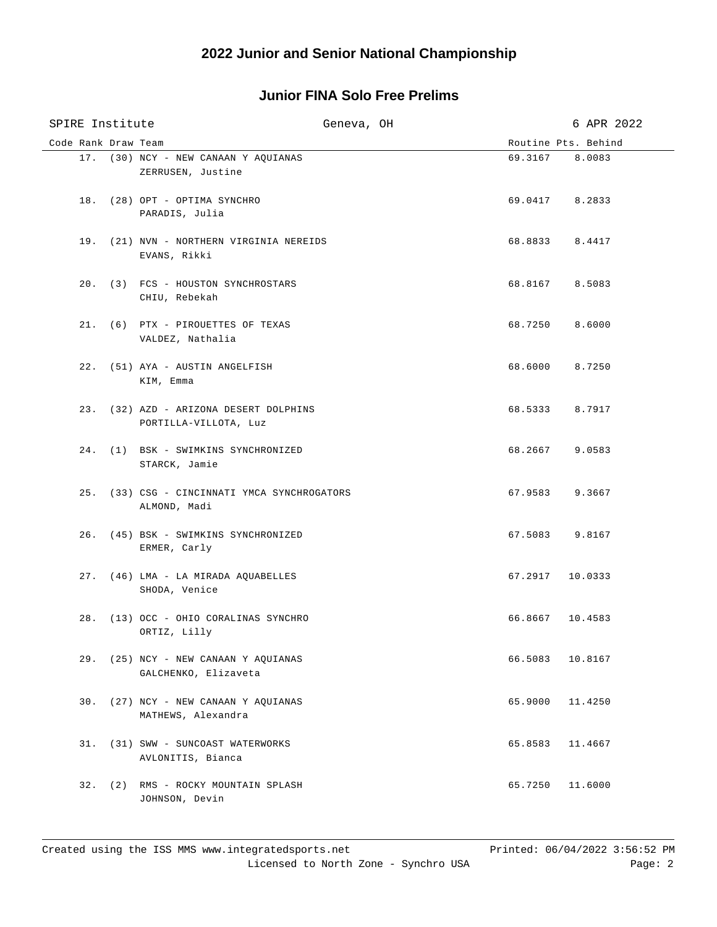| SPIRE Institute     | Geneva, OH                                                      |                 | 6 APR 2022          |
|---------------------|-----------------------------------------------------------------|-----------------|---------------------|
| Code Rank Draw Team |                                                                 |                 | Routine Pts. Behind |
|                     | 17. (30) NCY - NEW CANAAN Y AQUIANAS<br>ZERRUSEN, Justine       | 69.3167 8.0083  |                     |
|                     | 18. (28) OPT - OPTIMA SYNCHRO<br>PARADIS, Julia                 | 69.0417 8.2833  |                     |
|                     | 19. (21) NVN - NORTHERN VIRGINIA NEREIDS<br>EVANS, Rikki        | 68.8833 8.4417  |                     |
|                     | 20. (3) FCS - HOUSTON SYNCHROSTARS<br>CHIU, Rebekah             | 68.8167 8.5083  |                     |
|                     | 21. (6) PTX - PIROUETTES OF TEXAS<br>VALDEZ, Nathalia           | 68.7250 8.6000  |                     |
|                     | 22. (51) AYA - AUSTIN ANGELFISH<br>KIM, Emma                    | 68.6000 8.7250  |                     |
|                     | 23. (32) AZD - ARIZONA DESERT DOLPHINS<br>PORTILLA-VILLOTA, Luz | 68.5333 8.7917  |                     |
|                     | 24. (1) BSK - SWIMKINS SYNCHRONIZED<br>STARCK, Jamie            | 68.2667 9.0583  |                     |
|                     | 25. (33) CSG - CINCINNATI YMCA SYNCHROGATORS<br>ALMOND, Madi    | 67.9583 9.3667  |                     |
|                     | 26. (45) BSK - SWIMKINS SYNCHRONIZED<br>ERMER, Carly            | 67.5083 9.8167  |                     |
|                     | 27. (46) LMA - LA MIRADA AQUABELLES<br>SHODA, Venice            | 67.2917 10.0333 |                     |
|                     | 28. (13) OCC - OHIO CORALINAS SYNCHRO<br>ORTIZ, Lilly           | 66.8667 10.4583 |                     |
|                     | 29. (25) NCY - NEW CANAAN Y AOUIANAS<br>GALCHENKO, Elizaveta    | 66.5083         | 10.8167             |
|                     | 30. (27) NCY - NEW CANAAN Y AQUIANAS<br>MATHEWS, Alexandra      | 65.9000         | 11.4250             |
|                     | 31. (31) SWW - SUNCOAST WATERWORKS<br>AVLONITIS, Bianca         | 65.8583         | 11.4667             |
|                     | 32. (2) RMS - ROCKY MOUNTAIN SPLASH<br>JOHNSON, Devin           | 65.7250         | 11.6000             |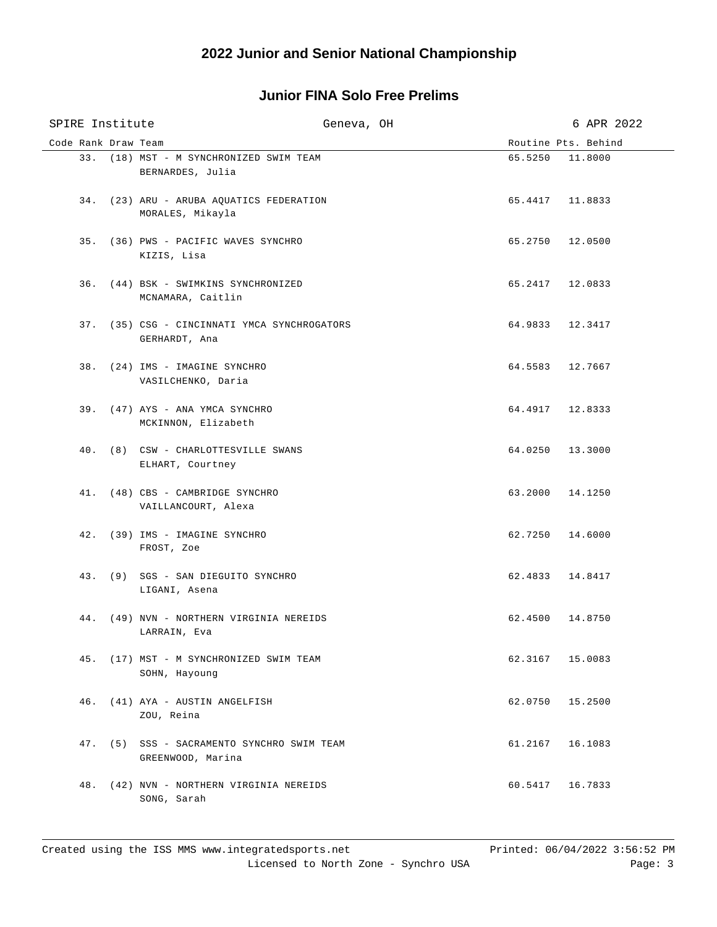| SPIRE Institute     |                                                               | Geneva, OH |                     | 6 APR 2022 |
|---------------------|---------------------------------------------------------------|------------|---------------------|------------|
| Code Rank Draw Team |                                                               |            | Routine Pts. Behind |            |
|                     | 33. (18) MST - M SYNCHRONIZED SWIM TEAM<br>BERNARDES, Julia   |            | 65.5250             | 11,8000    |
|                     | 34. (23) ARU - ARUBA AQUATICS FEDERATION<br>MORALES, Mikayla  |            | 65.4417 11.8833     |            |
|                     | 35. (36) PWS - PACIFIC WAVES SYNCHRO<br>KIZIS, Lisa           |            | 65.2750 12.0500     |            |
|                     | 36. (44) BSK - SWIMKINS SYNCHRONIZED<br>MCNAMARA, Caitlin     |            | 65.2417 12.0833     |            |
|                     | 37. (35) CSG - CINCINNATI YMCA SYNCHROGATORS<br>GERHARDT, Ana |            | 64.9833 12.3417     |            |
|                     | 38. (24) IMS - IMAGINE SYNCHRO<br>VASILCHENKO, Daria          |            | 64.5583 12.7667     |            |
|                     | 39. (47) AYS - ANA YMCA SYNCHRO<br>MCKINNON, Elizabeth        |            | 64.4917 12.8333     |            |
|                     | 40. (8) CSW - CHARLOTTESVILLE SWANS<br>ELHART, Courtney       |            | 64.0250 13.3000     |            |
|                     | 41. (48) CBS - CAMBRIDGE SYNCHRO<br>VAILLANCOURT, Alexa       |            | 63.2000 14.1250     |            |
|                     | 42. (39) IMS - IMAGINE SYNCHRO<br>FROST, Zoe                  |            | 62.7250 14.6000     |            |
|                     | 43. (9) SGS - SAN DIEGUITO SYNCHRO<br>LIGANI, Asena           |            | 62.4833 14.8417     |            |
|                     | 44. (49) NVN - NORTHERN VIRGINIA NEREIDS<br>LARRAIN, Eva      |            | 62.4500 14.8750     |            |
|                     | 45. (17) MST - M SYNCHRONIZED SWIM TEAM<br>SOHN, Hayoung      |            | 62.3167 15.0083     |            |
| 46.                 | (41) AYA - AUSTIN ANGELFISH<br>ZOU, Reina                     |            | 62.0750             | 15.2500    |
| 47.                 | (5) SSS - SACRAMENTO SYNCHRO SWIM TEAM<br>GREENWOOD, Marina   |            | 61.2167             | 16.1083    |
| 48.                 | (42) NVN - NORTHERN VIRGINIA NEREIDS<br>SONG, Sarah           |            | 60.5417             | 16.7833    |